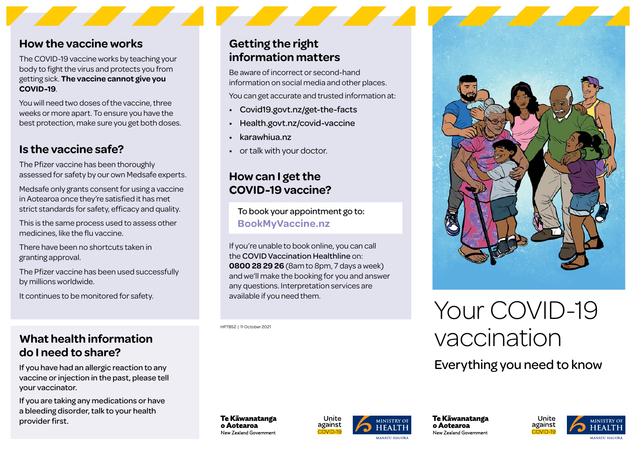### **How the vaccine works**

The COVID-19 vaccine works by teaching your body to fight the virus and protects you from getting sick. **The vaccine cannot give you COVID-19**.

You will need two doses of the vaccine, three weeks or more apart. To ensure you have the best protection, make sure you get both doses.

### **Is the vaccine safe?**

The Pfizer vaccine has been thoroughly assessed for safety by our own Medsafe experts.

Medsafe only grants consent for using a vaccine in Aotearoa once they're satisfied it has met strict standards for safety, efficacy and quality.

This is the same process used to assess other medicines, like the flu vaccine.

There have been no shortcuts taken in granting approval.

The Pfizer vaccine has been used successfully by millions worldwide.

It continues to be monitored for safety.

### **What health information do I need to share?**

If you have had an allergic reaction to any vaccine or injection in the past, please tell your vaccinator.

If you are taking any medications or have a bleeding disorder, talk to your health provider first.

### **Getting the right information matters**

Be aware of incorrect or second-hand information on social media and other places.

You can get accurate and trusted information at:

- [Covid19.govt.nz/get-the-facts](http://Covid19.govt.nz/get-the-facts)
- [Health.govt.nz/covid-vaccine](http://Health.govt.nz/covid-vaccine)
- [karawhiua.nz](http://karawhiua.nz)
- or talk with your doctor.

### **How can I get the COVID-19 vaccine?**

To book your appointment go to: **[BookMyVaccine.nz](http://BookMyVaccine.nz)**

If you're unable to book online, you can call the COVID Vaccination Healthline on: **0800 28 29 26** (8am to 8pm, 7 days a week) and we'll make the booking for you and answer any questions. Interpretation services are available if you need them.

HP7852 | 11 October 2021



# Your COVID-19 vaccination

Everything you need to know

Te Kāwanatanga o Aotearoa New Zealand Government



Te Kāwanatanga o Aotearoa New Zealand Government